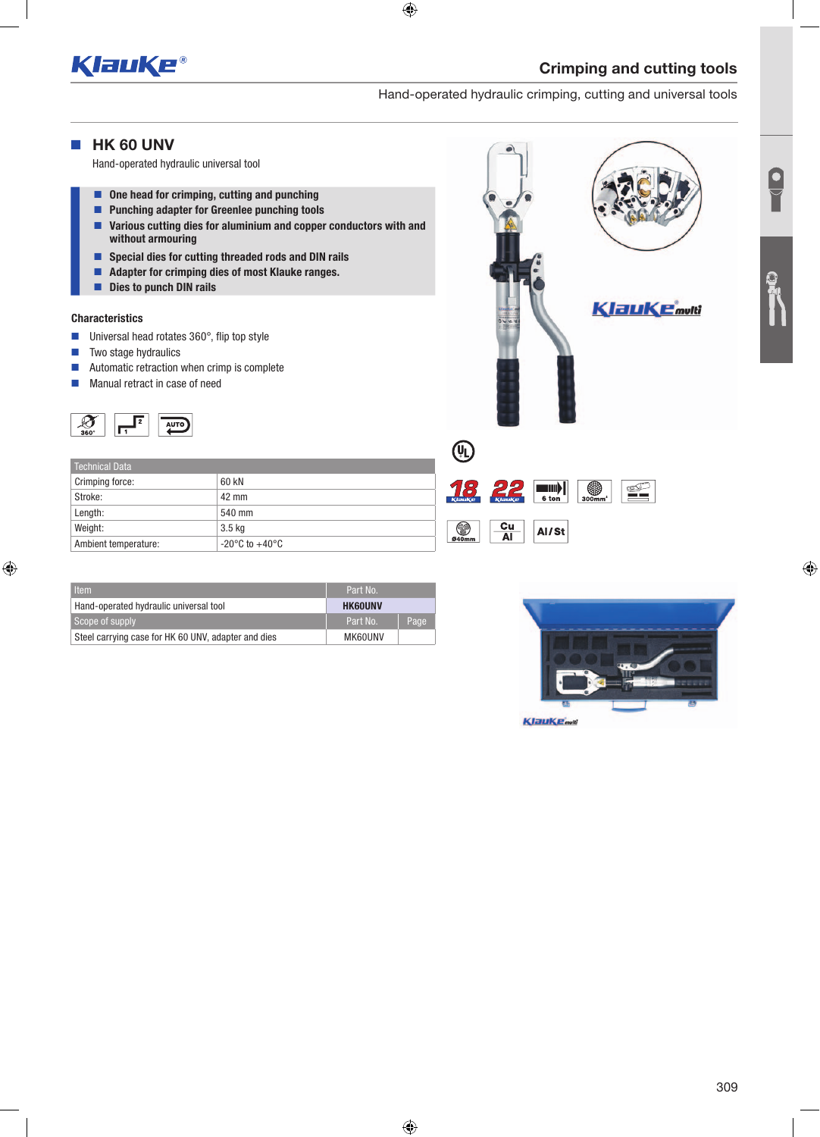

Hand-operated hydraulic crimping, cutting and universal tools

### **HK 60 UNV**

Hand-operated hydraulic universal tool

- One head for crimping, cutting and punching
- **Punching adapter for Greenlee punching tools**
- Various cutting dies for aluminium and copper conductors with and without armouring
- Special dies for cutting threaded rods and DIN rails
- Adapter for crimping dies of most Klauke ranges.
- Dies to punch DIN rails

#### **Characteristics**

- Universal head rotates 360°, flip top style
- $\blacksquare$  Two stage hydraulics
- Automatic retraction when crimp is complete
- **Manual retract in case of need**



| Technical Data       |                                    |                                   |
|----------------------|------------------------------------|-----------------------------------|
| Crimping force:      | 60 kN                              |                                   |
| Stroke:              | 42 mm                              | $\frac{1}{\kappa}$ lau $\kappa$ a |
| Length:              | 540 mm                             |                                   |
| Weight:              | 3.5 <sub>kq</sub>                  | ❤                                 |
| Ambient temperature: | $-20^{\circ}$ C to $+40^{\circ}$ C | 040mm                             |

| ltem'                                               | Part No.       |      |
|-----------------------------------------------------|----------------|------|
| Hand-operated hydraulic universal tool              | <b>HK60UNV</b> |      |
| Scope of supply                                     | Part No.       | Page |
| Steel carrying case for HK 60 UNV, adapter and dies | MK60UNV        |      |



●

 $\left\| \begin{matrix} 1 \\ 0 \\ 0 \end{matrix} \right\|_2$ 

Al/St

 $\frac{C_{\text{U}}}{\text{Al}}$ 



£